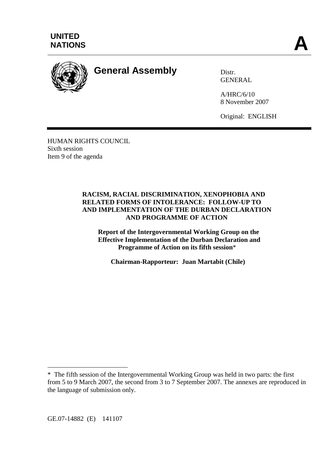



**General Assembly** Distr.

**GENERAL** 

A/HRC/6/10 8 November 2007

Original: ENGLISH

HUMAN RIGHTS COUNCIL Sixth session Item 9 of the agenda

#### **RACISM, RACIAL DISCRIMINATION, XENOPHOBIA AND RELATED FORMS OF INTOLERANCE: FOLLOW-UP TO AND IMPLEMENTATION OF THE DURBAN DECLARATION AND PROGRAMME OF ACTION**

**Report of the Intergovernmental Working Group on the Effective Implementation of the Durban Declaration and Programme of Action on its fifth session**\*

**Chairman-Rapporteur: Juan Martabit (Chile)** 

GE.07-14882 (E) 141107

 $\overline{a}$ 

<sup>\*</sup> The fifth session of the Intergovernmental Working Group was held in two parts: the first from 5 to 9 March 2007, the second from 3 to 7 September 2007. The annexes are reproduced in the language of submission only.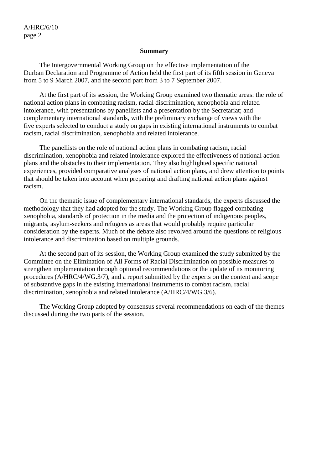#### **Summary**

 The Intergovernmental Working Group on the effective implementation of the Durban Declaration and Programme of Action held the first part of its fifth session in Geneva from 5 to 9 March 2007, and the second part from 3 to 7 September 2007.

 At the first part of its session, the Working Group examined two thematic areas: the role of national action plans in combating racism, racial discrimination, xenophobia and related intolerance, with presentations by panellists and a presentation by the Secretariat; and complementary international standards, with the preliminary exchange of views with the five experts selected to conduct a study on gaps in existing international instruments to combat racism, racial discrimination, xenophobia and related intolerance.

 The panellists on the role of national action plans in combating racism, racial discrimination, xenophobia and related intolerance explored the effectiveness of national action plans and the obstacles to their implementation. They also highlighted specific national experiences, provided comparative analyses of national action plans, and drew attention to points that should be taken into account when preparing and drafting national action plans against racism.

 On the thematic issue of complementary international standards, the experts discussed the methodology that they had adopted for the study. The Working Group flagged combating xenophobia, standards of protection in the media and the protection of indigenous peoples, migrants, asylum-seekers and refugees as areas that would probably require particular consideration by the experts. Much of the debate also revolved around the questions of religious intolerance and discrimination based on multiple grounds.

 At the second part of its session, the Working Group examined the study submitted by the Committee on the Elimination of All Forms of Racial Discrimination on possible measures to strengthen implementation through optional recommendations or the update of its monitoring procedures (A/HRC/4/WG.3/7), and a report submitted by the experts on the content and scope of substantive gaps in the existing international instruments to combat racism, racial discrimination, xenophobia and related intolerance (A/HRC/4/WG.3/6).

 The Working Group adopted by consensus several recommendations on each of the themes discussed during the two parts of the session.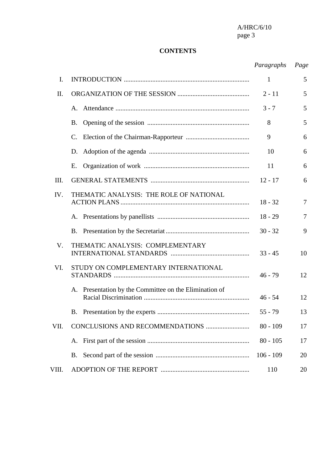# **CONTENTS**

# *Paragraphs Page*

| I.          |                                                        | 1           | 5  |
|-------------|--------------------------------------------------------|-------------|----|
| Π.          |                                                        | $2 - 11$    | 5  |
|             |                                                        | $3 - 7$     | 5  |
|             | Β.                                                     | 8           | 5  |
|             | C.                                                     | 9           | 6  |
|             | D.                                                     | 10          | 6  |
|             | Е.                                                     | 11          | 6  |
| III.        |                                                        | $12 - 17$   | 6  |
| IV.         | THEMATIC ANALYSIS: THE ROLE OF NATIONAL                | $18 - 32$   | 7  |
|             |                                                        | $18 - 29$   | 7  |
|             |                                                        | $30 - 32$   | 9  |
| $V_{\cdot}$ | THEMATIC ANALYSIS: COMPLEMENTARY                       | $33 - 45$   | 10 |
| VI.         | STUDY ON COMPLEMENTARY INTERNATIONAL                   | $46 - 79$   | 12 |
|             | A. Presentation by the Committee on the Elimination of | $46 - 54$   | 12 |
|             | Β.                                                     | $55 - 79$   | 13 |
| VII.        |                                                        | $80 - 109$  | 17 |
|             | A.                                                     | $80 - 105$  | 17 |
|             |                                                        | $106 - 109$ | 20 |
| VIII.       |                                                        | 110         | 20 |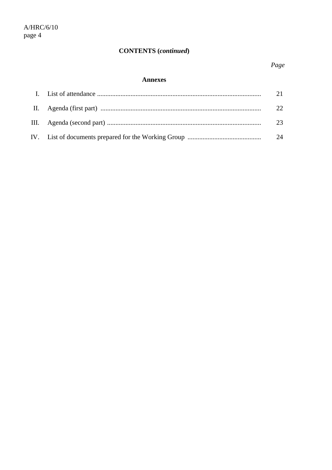# **CONTENTS** (continued)

#### **Annexes**

|  | 24 |
|--|----|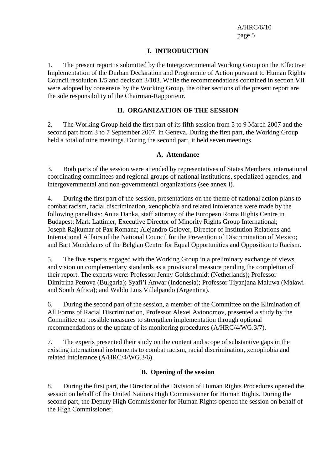#### **I. INTRODUCTION**

1. The present report is submitted by the Intergovernmental Working Group on the Effective Implementation of the Durban Declaration and Programme of Action pursuant to Human Rights Council resolution 1/5 and decision 3/103. While the recommendations contained in section VII were adopted by consensus by the Working Group, the other sections of the present report are the sole responsibility of the Chairman-Rapporteur.

#### **II. ORGANIZATION OF THE SESSION**

2. The Working Group held the first part of its fifth session from 5 to 9 March 2007 and the second part from 3 to 7 September 2007, in Geneva. During the first part, the Working Group held a total of nine meetings. During the second part, it held seven meetings.

#### **A. Attendance**

3. Both parts of the session were attended by representatives of States Members, international coordinating committees and regional groups of national institutions, specialized agencies, and intergovernmental and non-governmental organizations (see annex I).

4. During the first part of the session, presentations on the theme of national action plans to combat racism, racial discrimination, xenophobia and related intolerance were made by the following panellists: Anita Danka, staff attorney of the European Roma Rights Centre in Budapest; Mark Lattimer, Executive Director of Minority Rights Group International; Joseph Rajkumar of Pax Romana; Alejandro Gelover, Director of Institution Relations and International Affairs of the National Council for the Prevention of Discrimination of Mexico; and Bart Mondelaers of the Belgian Centre for Equal Opportunities and Opposition to Racism.

5. The five experts engaged with the Working Group in a preliminary exchange of views and vision on complementary standards as a provisional measure pending the completion of their report. The experts were: Professor Jenny Goldschmidt (Netherlands); Professor Dimitrina Petrova (Bulgaria); Syafi'i Anwar (Indonesia); Professor Tiyanjana Maluwa (Malawi and South Africa); and Waldo Luis Villalpando (Argentina).

6. During the second part of the session, a member of the Committee on the Elimination of All Forms of Racial Discrimination, Professor Alexei Avtonomov, presented a study by the Committee on possible measures to strengthen implementation through optional recommendations or the update of its monitoring procedures (A/HRC/4/WG.3/7).

7. The experts presented their study on the content and scope of substantive gaps in the existing international instruments to combat racism, racial discrimination, xenophobia and related intolerance (A/HRC/4/WG.3/6).

#### **B. Opening of the session**

8. During the first part, the Director of the Division of Human Rights Procedures opened the session on behalf of the United Nations High Commissioner for Human Rights. During the second part, the Deputy High Commissioner for Human Rights opened the session on behalf of the High Commissioner.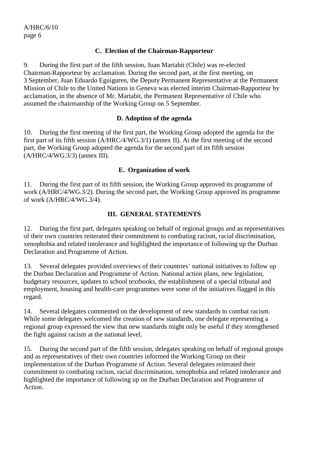### **C. Election of the Chairman-Rapporteur**

9. During the first part of the fifth session, Juan Martabit (Chile) was re-elected Chairman-Rapporteur by acclamation. During the second part, at the first meeting, on 3 September, Juan Eduardo Eguiguren, the Deputy Permanent Representative at the Permanent Mission of Chile to the United Nations in Geneva was elected interim Chairman-Rapporteur by acclamation, in the absence of Mr. Martabit, the Permanent Representative of Chile who assumed the chairmanship of the Working Group on 5 September.

### **D. Adoption of the agenda**

10. During the first meeting of the first part, the Working Group adopted the agenda for the first part of its fifth session (A/HRC/4/WG.3/1) (annex II). At the first meeting of the second part, the Working Group adopted the agenda for the second part of its fifth session (A/HRC/4/WG.3/3) (annex III).

### **E. Organization of work**

11. During the first part of its fifth session, the Working Group approved its programme of work (A/HRC/4/WG.3/2). During the second part, the Working Group approved its programme of work (A/HRC/4/WG.3/4).

### **III. GENERAL STATEMENTS**

12. During the first part, delegates speaking on behalf of regional groups and as representatives of their own countries reiterated their commitment to combating racism, racial discrimination, xenophobia and related intolerance and highlighted the importance of following up the Durban Declaration and Programme of Action.

13. Several delegates provided overviews of their countries' national initiatives to follow up the Durban Declaration and Programme of Action. National action plans, new legislation, budgetary resources, updates to school textbooks, the establishment of a special tribunal and employment, housing and health-care programmes were some of the initiatives flagged in this regard.

14. Several delegates commented on the development of new standards to combat racism. While some delegates welcomed the creation of new standards, one delegate representing a regional group expressed the view that new standards might only be useful if they strengthened the fight against racism at the national level.

15. During the second part of the fifth session, delegates speaking on behalf of regional groups and as representatives of their own countries informed the Working Group on their implementation of the Durban Programme of Action. Several delegates reiterated their commitment to combating racism, racial discrimination, xenophobia and related intolerance and highlighted the importance of following up on the Durban Declaration and Programme of Action.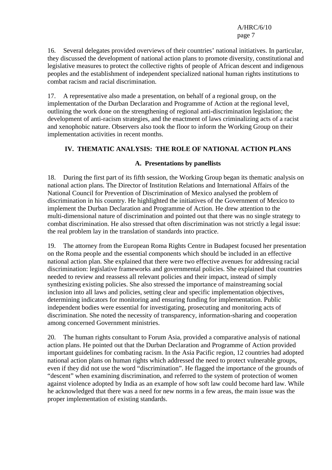16. Several delegates provided overviews of their countries' national initiatives. In particular, they discussed the development of national action plans to promote diversity, constitutional and legislative measures to protect the collective rights of people of African descent and indigenous peoples and the establishment of independent specialized national human rights institutions to combat racism and racial discrimination.

17. A representative also made a presentation, on behalf of a regional group, on the implementation of the Durban Declaration and Programme of Action at the regional level, outlining the work done on the strengthening of regional anti-discrimination legislation; the development of anti-racism strategies, and the enactment of laws criminalizing acts of a racist and xenophobic nature. Observers also took the floor to inform the Working Group on their implementation activities in recent months.

# **IV. THEMATIC ANALYSIS: THE ROLE OF NATIONAL ACTION PLANS**

## **A. Presentations by panellists**

18. During the first part of its fifth session, the Working Group began its thematic analysis on national action plans. The Director of Institution Relations and International Affairs of the National Council for Prevention of Discrimination of Mexico analysed the problem of discrimination in his country. He highlighted the initiatives of the Government of Mexico to implement the Durban Declaration and Programme of Action. He drew attention to the multi-dimensional nature of discrimination and pointed out that there was no single strategy to combat discrimination. He also stressed that often discrimination was not strictly a legal issue: the real problem lay in the translation of standards into practice.

19. The attorney from the European Roma Rights Centre in Budapest focused her presentation on the Roma people and the essential components which should be included in an effective national action plan. She explained that there were two effective avenues for addressing racial discrimination: legislative frameworks and governmental policies. She explained that countries needed to review and reassess all relevant policies and their impact, instead of simply synthesizing existing policies. She also stressed the importance of mainstreaming social inclusion into all laws and policies, setting clear and specific implementation objectives, determining indicators for monitoring and ensuring funding for implementation. Public independent bodies were essential for investigating, prosecuting and monitoring acts of discrimination. She noted the necessity of transparency, information-sharing and cooperation among concerned Government ministries.

20. The human rights consultant to Forum Asia, provided a comparative analysis of national action plans. He pointed out that the Durban Declaration and Programme of Action provided important guidelines for combating racism. In the Asia Pacific region, 12 countries had adopted national action plans on human rights which addressed the need to protect vulnerable groups, even if they did not use the word "discrimination". He flagged the importance of the grounds of "descent" when examining discrimination, and referred to the system of protection of women against violence adopted by India as an example of how soft law could become hard law. While he acknowledged that there was a need for new norms in a few areas, the main issue was the proper implementation of existing standards.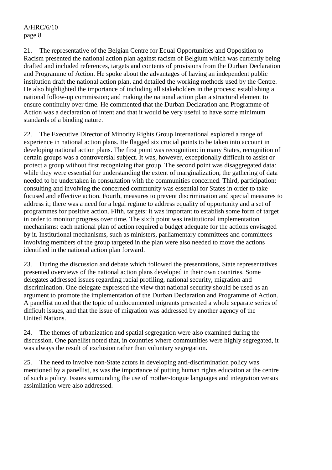21. The representative of the Belgian Centre for Equal Opportunities and Opposition to Racism presented the national action plan against racism of Belgium which was currently being drafted and included references, targets and contents of provisions from the Durban Declaration and Programme of Action. He spoke about the advantages of having an independent public institution draft the national action plan, and detailed the working methods used by the Centre. He also highlighted the importance of including all stakeholders in the process; establishing a national follow-up commission; and making the national action plan a structural element to ensure continuity over time. He commented that the Durban Declaration and Programme of Action was a declaration of intent and that it would be very useful to have some minimum standards of a binding nature.

22. The Executive Director of Minority Rights Group International explored a range of experience in national action plans. He flagged six crucial points to be taken into account in developing national action plans. The first point was recognition: in many States, recognition of certain groups was a controversial subject. It was, however, exceptionally difficult to assist or protect a group without first recognizing that group. The second point was disaggregated data: while they were essential for understanding the extent of marginalization, the gathering of data needed to be undertaken in consultation with the communities concerned. Third, participation: consulting and involving the concerned community was essential for States in order to take focused and effective action. Fourth, measures to prevent discrimination and special measures to address it; there was a need for a legal regime to address equality of opportunity and a set of programmes for positive action. Fifth, targets: it was important to establish some form of target in order to monitor progress over time. The sixth point was institutional implementation mechanisms: each national plan of action required a budget adequate for the actions envisaged by it. Institutional mechanisms, such as ministers, parliamentary committees and committees involving members of the group targeted in the plan were also needed to move the actions identified in the national action plan forward.

23. During the discussion and debate which followed the presentations, State representatives presented overviews of the national action plans developed in their own countries. Some delegates addressed issues regarding racial profiling, national security, migration and discrimination. One delegate expressed the view that national security should be used as an argument to promote the implementation of the Durban Declaration and Programme of Action. A panellist noted that the topic of undocumented migrants presented a whole separate series of difficult issues, and that the issue of migration was addressed by another agency of the United Nations.

24. The themes of urbanization and spatial segregation were also examined during the discussion. One panellist noted that, in countries where communities were highly segregated, it was always the result of exclusion rather than voluntary segregation.

25. The need to involve non-State actors in developing anti-discrimination policy was mentioned by a panellist, as was the importance of putting human rights education at the centre of such a policy. Issues surrounding the use of mother-tongue languages and integration versus assimilation were also addressed.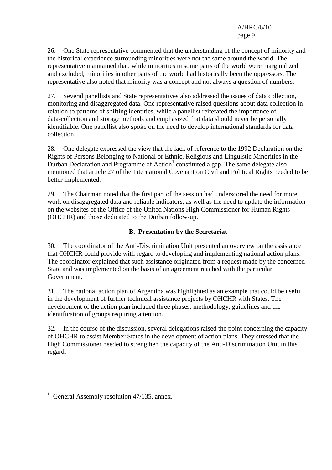26. One State representative commented that the understanding of the concept of minority and the historical experience surrounding minorities were not the same around the world. The representative maintained that, while minorities in some parts of the world were marginalized and excluded, minorities in other parts of the world had historically been the oppressors. The representative also noted that minority was a concept and not always a question of numbers.

27. Several panellists and State representatives also addressed the issues of data collection, monitoring and disaggregated data. One representative raised questions about data collection in relation to patterns of shifting identities, while a panellist reiterated the importance of data-collection and storage methods and emphasized that data should never be personally identifiable. One panellist also spoke on the need to develop international standards for data collection.

28. One delegate expressed the view that the lack of reference to the 1992 Declaration on the Rights of Persons Belonging to National or Ethnic, Religious and Linguistic Minorities in the Durban Declaration and Programme of Action<sup>1</sup> constituted a gap. The same delegate also mentioned that article 27 of the International Covenant on Civil and Political Rights needed to be better implemented.

29. The Chairman noted that the first part of the session had underscored the need for more work on disaggregated data and reliable indicators, as well as the need to update the information on the websites of the Office of the United Nations High Commissioner for Human Rights (OHCHR) and those dedicated to the Durban follow-up.

## **B. Presentation by the Secretariat**

30. The coordinator of the Anti-Discrimination Unit presented an overview on the assistance that OHCHR could provide with regard to developing and implementing national action plans. The coordinator explained that such assistance originated from a request made by the concerned State and was implemented on the basis of an agreement reached with the particular Government.

31. The national action plan of Argentina was highlighted as an example that could be useful in the development of further technical assistance projects by OHCHR with States. The development of the action plan included three phases: methodology, guidelines and the identification of groups requiring attention.

32. In the course of the discussion, several delegations raised the point concerning the capacity of OHCHR to assist Member States in the development of action plans. They stressed that the High Commissioner needed to strengthen the capacity of the Anti-Discrimination Unit in this regard.

<sup>&</sup>lt;sup>1</sup> General Assembly resolution 47/135, annex.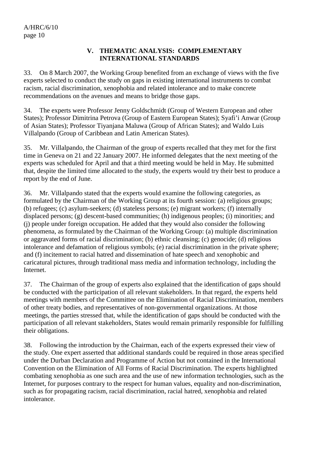#### **V. THEMATIC ANALYSIS: COMPLEMENTARY INTERNATIONAL STANDARDS**

33. On 8 March 2007, the Working Group benefited from an exchange of views with the five experts selected to conduct the study on gaps in existing international instruments to combat racism, racial discrimination, xenophobia and related intolerance and to make concrete recommendations on the avenues and means to bridge those gaps.

34. The experts were Professor Jenny Goldschmidt (Group of Western European and other States); Professor Dimitrina Petrova (Group of Eastern European States); Syafi'i Anwar (Group of Asian States); Professor Tiyanjana Maluwa (Group of African States); and Waldo Luis Villalpando (Group of Caribbean and Latin American States).

35. Mr. Villalpando, the Chairman of the group of experts recalled that they met for the first time in Geneva on 21 and 22 January 2007. He informed delegates that the next meeting of the experts was scheduled for April and that a third meeting would be held in May. He submitted that, despite the limited time allocated to the study, the experts would try their best to produce a report by the end of June.

36. Mr. Villalpando stated that the experts would examine the following categories, as formulated by the Chairman of the Working Group at its fourth session: (a) religious groups; (b) refugees; (c) asylum-seekers; (d) stateless persons; (e) migrant workers; (f) internally displaced persons; (g) descent-based communities; (h) indigenous peoples; (i) minorities; and (j) people under foreign occupation. He added that they would also consider the following phenomena, as formulated by the Chairman of the Working Group: (a) multiple discrimination or aggravated forms of racial discrimination; (b) ethnic cleansing; (c) genocide; (d) religious intolerance and defamation of religious symbols; (e) racial discrimination in the private sphere; and (f) incitement to racial hatred and dissemination of hate speech and xenophobic and caricatural pictures, through traditional mass media and information technology, including the Internet.

37. The Chairman of the group of experts also explained that the identification of gaps should be conducted with the participation of all relevant stakeholders. In that regard, the experts held meetings with members of the Committee on the Elimination of Racial Discrimination, members of other treaty bodies, and representatives of non-governmental organizations. At those meetings, the parties stressed that, while the identification of gaps should be conducted with the participation of all relevant stakeholders, States would remain primarily responsible for fulfilling their obligations.

38. Following the introduction by the Chairman, each of the experts expressed their view of the study. One expert asserted that additional standards could be required in those areas specified under the Durban Declaration and Programme of Action but not contained in the International Convention on the Elimination of All Forms of Racial Discrimination. The experts highlighted combating xenophobia as one such area and the use of new information technologies, such as the Internet, for purposes contrary to the respect for human values, equality and non-discrimination, such as for propagating racism, racial discrimination, racial hatred, xenophobia and related intolerance.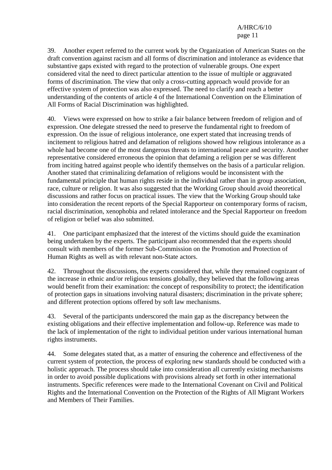39. Another expert referred to the current work by the Organization of American States on the draft convention against racism and all forms of discrimination and intolerance as evidence that substantive gaps existed with regard to the protection of vulnerable groups. One expert considered vital the need to direct particular attention to the issue of multiple or aggravated forms of discrimination. The view that only a cross-cutting approach would provide for an effective system of protection was also expressed. The need to clarify and reach a better understanding of the contents of article 4 of the International Convention on the Elimination of All Forms of Racial Discrimination was highlighted.

40. Views were expressed on how to strike a fair balance between freedom of religion and of expression. One delegate stressed the need to preserve the fundamental right to freedom of expression. On the issue of religious intolerance, one expert stated that increasing trends of incitement to religious hatred and defamation of religions showed how religious intolerance as a whole had become one of the most dangerous threats to international peace and security. Another representative considered erroneous the opinion that defaming a religion per se was different from inciting hatred against people who identify themselves on the basis of a particular religion. Another stated that criminalizing defamation of religions would be inconsistent with the fundamental principle that human rights reside in the individual rather than in group association, race, culture or religion. It was also suggested that the Working Group should avoid theoretical discussions and rather focus on practical issues. The view that the Working Group should take into consideration the recent reports of the Special Rapporteur on contemporary forms of racism, racial discrimination, xenophobia and related intolerance and the Special Rapporteur on freedom of religion or belief was also submitted.

41. One participant emphasized that the interest of the victims should guide the examination being undertaken by the experts. The participant also recommended that the experts should consult with members of the former Sub-Commission on the Promotion and Protection of Human Rights as well as with relevant non-State actors.

42. Throughout the discussions, the experts considered that, while they remained cognizant of the increase in ethnic and/or religious tensions globally, they believed that the following areas would benefit from their examination: the concept of responsibility to protect; the identification of protection gaps in situations involving natural disasters; discrimination in the private sphere; and different protection options offered by soft law mechanisms.

43. Several of the participants underscored the main gap as the discrepancy between the existing obligations and their effective implementation and follow-up. Reference was made to the lack of implementation of the right to individual petition under various international human rights instruments.

44. Some delegates stated that, as a matter of ensuring the coherence and effectiveness of the current system of protection, the process of exploring new standards should be conducted with a holistic approach. The process should take into consideration all currently existing mechanisms in order to avoid possible duplications with provisions already set forth in other international instruments. Specific references were made to the International Covenant on Civil and Political Rights and the International Convention on the Protection of the Rights of All Migrant Workers and Members of Their Families.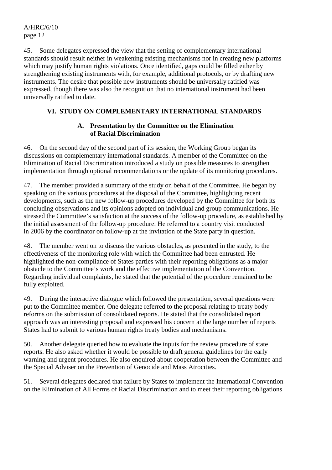45. Some delegates expressed the view that the setting of complementary international standards should result neither in weakening existing mechanisms nor in creating new platforms which may justify human rights violations. Once identified, gaps could be filled either by strengthening existing instruments with, for example, additional protocols, or by drafting new instruments. The desire that possible new instruments should be universally ratified was expressed, though there was also the recognition that no international instrument had been universally ratified to date.

### **VI. STUDY ON COMPLEMENTARY INTERNATIONAL STANDARDS**

#### **A. Presentation by the Committee on the Elimination of Racial Discrimination**

46. On the second day of the second part of its session, the Working Group began its discussions on complementary international standards. A member of the Committee on the Elimination of Racial Discrimination introduced a study on possible measures to strengthen implementation through optional recommendations or the update of its monitoring procedures.

47. The member provided a summary of the study on behalf of the Committee. He began by speaking on the various procedures at the disposal of the Committee, highlighting recent developments, such as the new follow-up procedures developed by the Committee for both its concluding observations and its opinions adopted on individual and group communications. He stressed the Committee's satisfaction at the success of the follow-up procedure, as established by the initial assessment of the follow-up procedure. He referred to a country visit conducted in 2006 by the coordinator on follow-up at the invitation of the State party in question.

48. The member went on to discuss the various obstacles, as presented in the study, to the effectiveness of the monitoring role with which the Committee had been entrusted. He highlighted the non-compliance of States parties with their reporting obligations as a major obstacle to the Committee's work and the effective implementation of the Convention. Regarding individual complaints, he stated that the potential of the procedure remained to be fully exploited.

49. During the interactive dialogue which followed the presentation, several questions were put to the Committee member. One delegate referred to the proposal relating to treaty body reforms on the submission of consolidated reports. He stated that the consolidated report approach was an interesting proposal and expressed his concern at the large number of reports States had to submit to various human rights treaty bodies and mechanisms.

50. Another delegate queried how to evaluate the inputs for the review procedure of state reports. He also asked whether it would be possible to draft general guidelines for the early warning and urgent procedures. He also enquired about cooperation between the Committee and the Special Adviser on the Prevention of Genocide and Mass Atrocities.

51. Several delegates declared that failure by States to implement the International Convention on the Elimination of All Forms of Racial Discrimination and to meet their reporting obligations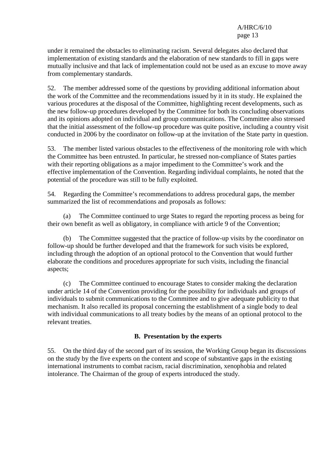under it remained the obstacles to eliminating racism. Several delegates also declared that implementation of existing standards and the elaboration of new standards to fill in gaps were mutually inclusive and that lack of implementation could not be used as an excuse to move away from complementary standards.

52. The member addressed some of the questions by providing additional information about the work of the Committee and the recommendations issued by it in its study. He explained the various procedures at the disposal of the Committee, highlighting recent developments, such as the new follow-up procedures developed by the Committee for both its concluding observations and its opinions adopted on individual and group communications. The Committee also stressed that the initial assessment of the follow-up procedure was quite positive, including a country visit conducted in 2006 by the coordinator on follow-up at the invitation of the State party in question.

53. The member listed various obstacles to the effectiveness of the monitoring role with which the Committee has been entrusted. In particular, he stressed non-compliance of States parties with their reporting obligations as a major impediment to the Committee's work and the effective implementation of the Convention. Regarding individual complaints, he noted that the potential of the procedure was still to be fully exploited.

54. Regarding the Committee's recommendations to address procedural gaps, the member summarized the list of recommendations and proposals as follows:

 (a) The Committee continued to urge States to regard the reporting process as being for their own benefit as well as obligatory, in compliance with article 9 of the Convention;

 (b) The Committee suggested that the practice of follow-up visits by the coordinator on follow-up should be further developed and that the framework for such visits be explored, including through the adoption of an optional protocol to the Convention that would further elaborate the conditions and procedures appropriate for such visits, including the financial aspects;

 (c) The Committee continued to encourage States to consider making the declaration under article 14 of the Convention providing for the possibility for individuals and groups of individuals to submit communications to the Committee and to give adequate publicity to that mechanism. It also recalled its proposal concerning the establishment of a single body to deal with individual communications to all treaty bodies by the means of an optional protocol to the relevant treaties.

### **B. Presentation by the experts**

55. On the third day of the second part of its session, the Working Group began its discussions on the study by the five experts on the content and scope of substantive gaps in the existing international instruments to combat racism, racial discrimination, xenophobia and related intolerance. The Chairman of the group of experts introduced the study.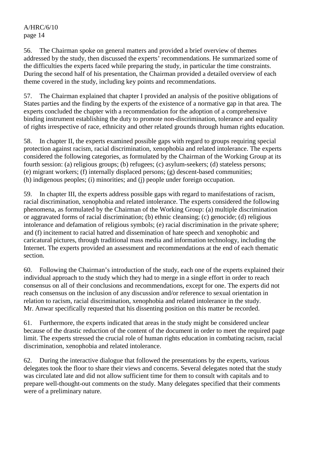56. The Chairman spoke on general matters and provided a brief overview of themes addressed by the study, then discussed the experts' recommendations. He summarized some of the difficulties the experts faced while preparing the study, in particular the time constraints. During the second half of his presentation, the Chairman provided a detailed overview of each theme covered in the study, including key points and recommendations.

57. The Chairman explained that chapter I provided an analysis of the positive obligations of States parties and the finding by the experts of the existence of a normative gap in that area. The experts concluded the chapter with a recommendation for the adoption of a comprehensive binding instrument establishing the duty to promote non-discrimination, tolerance and equality of rights irrespective of race, ethnicity and other related grounds through human rights education.

58. In chapter II, the experts examined possible gaps with regard to groups requiring special protection against racism, racial discrimination, xenophobia and related intolerance. The experts considered the following categories, as formulated by the Chairman of the Working Group at its fourth session: (a) religious groups; (b) refugees; (c) asylum-seekers; (d) stateless persons; (e) migrant workers; (f) internally displaced persons; (g) descent-based communities; (h) indigenous peoples; (i) minorities; and (j) people under foreign occupation.

59. In chapter III, the experts address possible gaps with regard to manifestations of racism, racial discrimination, xenophobia and related intolerance. The experts considered the following phenomena, as formulated by the Chairman of the Working Group: (a) multiple discrimination or aggravated forms of racial discrimination; (b) ethnic cleansing; (c) genocide; (d) religious intolerance and defamation of religious symbols; (e) racial discrimination in the private sphere; and (f) incitement to racial hatred and dissemination of hate speech and xenophobic and caricatural pictures, through traditional mass media and information technology, including the Internet. The experts provided an assessment and recommendations at the end of each thematic section.

60. Following the Chairman's introduction of the study, each one of the experts explained their individual approach to the study which they had to merge in a single effort in order to reach consensus on all of their conclusions and recommendations, except for one. The experts did not reach consensus on the inclusion of any discussion and/or reference to sexual orientation in relation to racism, racial discrimination, xenophobia and related intolerance in the study. Mr. Anwar specifically requested that his dissenting position on this matter be recorded.

61. Furthermore, the experts indicated that areas in the study might be considered unclear because of the drastic reduction of the content of the document in order to meet the required page limit. The experts stressed the crucial role of human rights education in combating racism, racial discrimination, xenophobia and related intolerance.

62. During the interactive dialogue that followed the presentations by the experts, various delegates took the floor to share their views and concerns. Several delegates noted that the study was circulated late and did not allow sufficient time for them to consult with capitals and to prepare well-thought-out comments on the study. Many delegates specified that their comments were of a preliminary nature.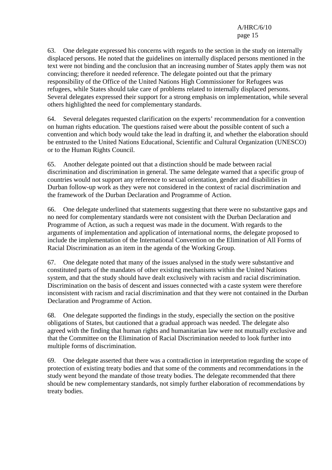63. One delegate expressed his concerns with regards to the section in the study on internally displaced persons. He noted that the guidelines on internally displaced persons mentioned in the text were not binding and the conclusion that an increasing number of States apply them was not convincing; therefore it needed reference. The delegate pointed out that the primary responsibility of the Office of the United Nations High Commissioner for Refugees was refugees, while States should take care of problems related to internally displaced persons. Several delegates expressed their support for a strong emphasis on implementation, while several others highlighted the need for complementary standards.

64. Several delegates requested clarification on the experts' recommendation for a convention on human rights education. The questions raised were about the possible content of such a convention and which body would take the lead in drafting it, and whether the elaboration should be entrusted to the United Nations Educational, Scientific and Cultural Organization (UNESCO) or to the Human Rights Council.

65. Another delegate pointed out that a distinction should be made between racial discrimination and discrimination in general. The same delegate warned that a specific group of countries would not support any reference to sexual orientation, gender and disabilities in Durban follow-up work as they were not considered in the context of racial discrimination and the framework of the Durban Declaration and Programme of Action.

66. One delegate underlined that statements suggesting that there were no substantive gaps and no need for complementary standards were not consistent with the Durban Declaration and Programme of Action, as such a request was made in the document. With regards to the arguments of implementation and application of international norms, the delegate proposed to include the implementation of the International Convention on the Elimination of All Forms of Racial Discrimination as an item in the agenda of the Working Group.

67. One delegate noted that many of the issues analysed in the study were substantive and constituted parts of the mandates of other existing mechanisms within the United Nations system, and that the study should have dealt exclusively with racism and racial discrimination. Discrimination on the basis of descent and issues connected with a caste system were therefore inconsistent with racism and racial discrimination and that they were not contained in the Durban Declaration and Programme of Action.

68. One delegate supported the findings in the study, especially the section on the positive obligations of States, but cautioned that a gradual approach was needed. The delegate also agreed with the finding that human rights and humanitarian law were not mutually exclusive and that the Committee on the Elimination of Racial Discrimination needed to look further into multiple forms of discrimination.

69. One delegate asserted that there was a contradiction in interpretation regarding the scope of protection of existing treaty bodies and that some of the comments and recommendations in the study went beyond the mandate of those treaty bodies. The delegate recommended that there should be new complementary standards, not simply further elaboration of recommendations by treaty bodies.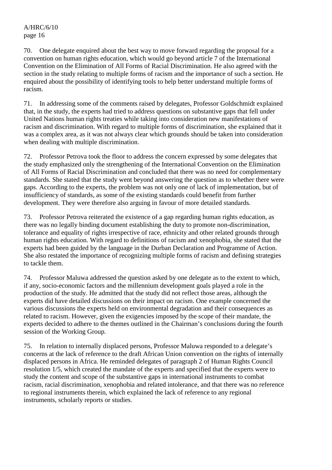70. One delegate enquired about the best way to move forward regarding the proposal for a convention on human rights education, which would go beyond article 7 of the International Convention on the Elimination of All Forms of Racial Discrimination. He also agreed with the section in the study relating to multiple forms of racism and the importance of such a section. He enquired about the possibility of identifying tools to help better understand multiple forms of racism.

71. In addressing some of the comments raised by delegates, Professor Goldschmidt explained that, in the study, the experts had tried to address questions on substantive gaps that fell under United Nations human rights treaties while taking into consideration new manifestations of racism and discrimination. With regard to multiple forms of discrimination, she explained that it was a complex area, as it was not always clear which grounds should be taken into consideration when dealing with multiple discrimination.

72. Professor Petrova took the floor to address the concern expressed by some delegates that the study emphasized only the strengthening of the International Convention on the Elimination of All Forms of Racial Discrimination and concluded that there was no need for complementary standards. She stated that the study went beyond answering the question as to whether there were gaps. According to the experts, the problem was not only one of lack of implementation, but of insufficiency of standards, as some of the existing standards could benefit from further development. They were therefore also arguing in favour of more detailed standards.

73. Professor Petrova reiterated the existence of a gap regarding human rights education, as there was no legally binding document establishing the duty to promote non-discrimination, tolerance and equality of rights irrespective of race, ethnicity and other related grounds through human rights education. With regard to definitions of racism and xenophobia, she stated that the experts had been guided by the language in the Durban Declaration and Programme of Action. She also restated the importance of recognizing multiple forms of racism and defining strategies to tackle them.

74. Professor Maluwa addressed the question asked by one delegate as to the extent to which, if any, socio-economic factors and the millennium development goals played a role in the production of the study. He admitted that the study did not reflect those areas, although the experts did have detailed discussions on their impact on racism. One example concerned the various discussions the experts held on environmental degradation and their consequences as related to racism. However, given the exigencies imposed by the scope of their mandate, the experts decided to adhere to the themes outlined in the Chairman's conclusions during the fourth session of the Working Group.

75. In relation to internally displaced persons, Professor Maluwa responded to a delegate's concerns at the lack of reference to the draft African Union convention on the rights of internally displaced persons in Africa. He reminded delegates of paragraph 2 of Human Rights Council resolution 1/5, which created the mandate of the experts and specified that the experts were to study the content and scope of the substantive gaps in international instruments to combat racism, racial discrimination, xenophobia and related intolerance, and that there was no reference to regional instruments therein, which explained the lack of reference to any regional instruments, scholarly reports or studies.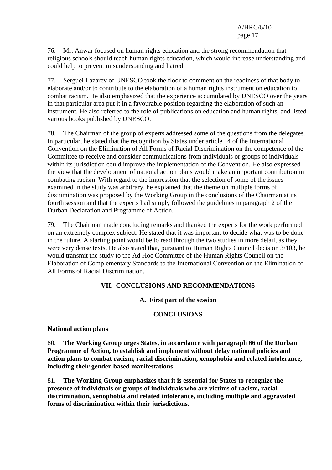76. Mr. Anwar focused on human rights education and the strong recommendation that religious schools should teach human rights education, which would increase understanding and could help to prevent misunderstanding and hatred.

77. Serguei Lazarev of UNESCO took the floor to comment on the readiness of that body to elaborate and/or to contribute to the elaboration of a human rights instrument on education to combat racism. He also emphasized that the experience accumulated by UNESCO over the years in that particular area put it in a favourable position regarding the elaboration of such an instrument. He also referred to the role of publications on education and human rights, and listed various books published by UNESCO.

78. The Chairman of the group of experts addressed some of the questions from the delegates. In particular, he stated that the recognition by States under article 14 of the International Convention on the Elimination of All Forms of Racial Discrimination on the competence of the Committee to receive and consider communications from individuals or groups of individuals within its jurisdiction could improve the implementation of the Convention. He also expressed the view that the development of national action plans would make an important contribution in combating racism. With regard to the impression that the selection of some of the issues examined in the study was arbitrary, he explained that the theme on multiple forms of discrimination was proposed by the Working Group in the conclusions of the Chairman at its fourth session and that the experts had simply followed the guidelines in paragraph 2 of the Durban Declaration and Programme of Action.

79. The Chairman made concluding remarks and thanked the experts for the work performed on an extremely complex subject. He stated that it was important to decide what was to be done in the future. A starting point would be to read through the two studies in more detail, as they were very dense texts. He also stated that, pursuant to Human Rights Council decision 3/103, he would transmit the study to the Ad Hoc Committee of the Human Rights Council on the Elaboration of Complementary Standards to the International Convention on the Elimination of All Forms of Racial Discrimination.

### **VII. CONCLUSIONS AND RECOMMENDATIONS**

### **A. First part of the session**

### **CONCLUSIONS**

### **National action plans**

80. **The Working Group urges States, in accordance with paragraph 66 of the Durban Programme of Action, to establish and implement without delay national policies and action plans to combat racism, racial discrimination, xenophobia and related intolerance, including their gender-based manifestations.** 

81. **The Working Group emphasizes that it is essential for States to recognize the presence of individuals or groups of individuals who are victims of racism, racial discrimination, xenophobia and related intolerance, including multiple and aggravated forms of discrimination within their jurisdictions.**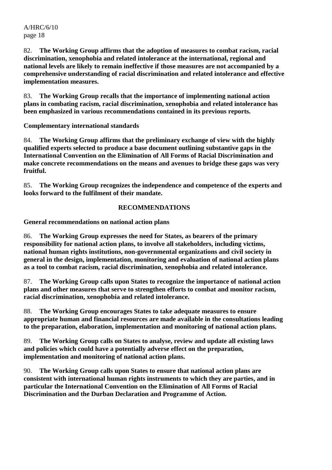82. **The Working Group affirms that the adoption of measures to combat racism, racial discrimination, xenophobia and related intolerance at the international, regional and national levels are likely to remain ineffective if those measures are not accompanied by a comprehensive understanding of racial discrimination and related intolerance and effective implementation measures.** 

83. **The Working Group recalls that the importance of implementing national action plans in combating racism, racial discrimination, xenophobia and related intolerance has been emphasized in various recommendations contained in its previous reports.** 

**Complementary international standards** 

84. **The Working Group affirms that the preliminary exchange of view with the highly qualified experts selected to produce a base document outlining substantive gaps in the International Convention on the Elimination of All Forms of Racial Discrimination and make concrete recommendations on the means and avenues to bridge these gaps was very fruitful.** 

85. **The Working Group recognizes the independence and competence of the experts and looks forward to the fulfilment of their mandate.** 

### **RECOMMENDATIONS**

**General recommendations on national action plans** 

86. **The Working Group expresses the need for States, as bearers of the primary responsibility for national action plans, to involve all stakeholders, including victims, national human rights institutions, non-governmental organizations and civil society in general in the design, implementation, monitoring and evaluation of national action plans as a tool to combat racism, racial discrimination, xenophobia and related intolerance.** 

87. **The Working Group calls upon States to recognize the importance of national action plans and other measures that serve to strengthen efforts to combat and monitor racism, racial discrimination, xenophobia and related intolerance.** 

88. **The Working Group encourages States to take adequate measures to ensure appropriate human and financial resources are made available in the consultations leading to the preparation, elaboration, implementation and monitoring of national action plans.** 

89. **The Working Group calls on States to analyse, review and update all existing laws and policies which could have a potentially adverse effect on the preparation, implementation and monitoring of national action plans.** 

90. **The Working Group calls upon States to ensure that national action plans are consistent with international human rights instruments to which they are parties, and in particular the International Convention on the Elimination of All Forms of Racial Discrimination and the Durban Declaration and Programme of Action.**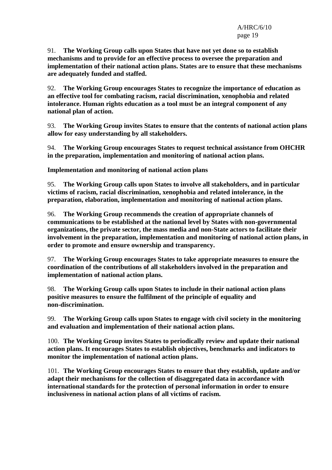91. **The Working Group calls upon States that have not yet done so to establish mechanisms and to provide for an effective process to oversee the preparation and implementation of their national action plans. States are to ensure that these mechanisms are adequately funded and staffed.** 

92. **The Working Group encourages States to recognize the importance of education as an effective tool for combating racism, racial discrimination, xenophobia and related intolerance. Human rights education as a tool must be an integral component of any national plan of action.** 

93. **The Working Group invites States to ensure that the contents of national action plans allow for easy understanding by all stakeholders.** 

94. **The Working Group encourages States to request technical assistance from OHCHR in the preparation, implementation and monitoring of national action plans.** 

**Implementation and monitoring of national action plans** 

95. **The Working Group calls upon States to involve all stakeholders, and in particular victims of racism, racial discrimination, xenophobia and related intolerance, in the preparation, elaboration, implementation and monitoring of national action plans.** 

96. **The Working Group recommends the creation of appropriate channels of communications to be established at the national level by States with non-governmental organizations, the private sector, the mass media and non-State actors to facilitate their involvement in the preparation, implementation and monitoring of national action plans, in order to promote and ensure ownership and transparency.** 

97. **The Working Group encourages States to take appropriate measures to ensure the coordination of the contributions of all stakeholders involved in the preparation and implementation of national action plans.** 

98. **The Working Group calls upon States to include in their national action plans positive measures to ensure the fulfilment of the principle of equality and non-discrimination.** 

99. **The Working Group calls upon States to engage with civil society in the monitoring and evaluation and implementation of their national action plans.** 

100. **The Working Group invites States to periodically review and update their national action plans. It encourages States to establish objectives, benchmarks and indicators to monitor the implementation of national action plans.** 

101. **The Working Group encourages States to ensure that they establish, update and/or adapt their mechanisms for the collection of disaggregated data in accordance with international standards for the protection of personal information in order to ensure inclusiveness in national action plans of all victims of racism.**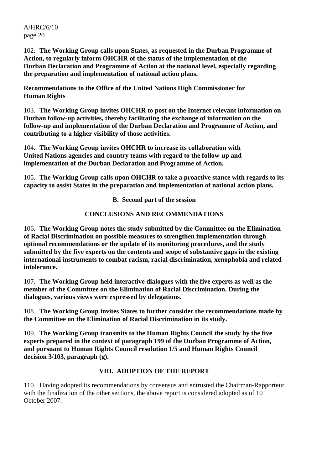102. **The Working Group calls upon States, as requested in the Durban Programme of Action, to regularly inform OHCHR of the status of the implementation of the Durban Declaration and Programme of Action at the national level, especially regarding the preparation and implementation of national action plans.** 

**Recommendations to the Office of the United Nations High Commissioner for Human Rights** 

103. **The Working Group invites OHCHR to post on the Internet relevant information on Durban follow-up activities, thereby facilitating the exchange of information on the follow-up and implementation of the Durban Declaration and Programme of Action, and contributing to a higher visibility of those activities.** 

104. **The Working Group invites OHCHR to increase its collaboration with United Nations agencies and country teams with regard to the follow-up and implementation of the Durban Declaration and Programme of Action.** 

105. **The Working Group calls upon OHCHR to take a proactive stance with regards to its capacity to assist States in the preparation and implementation of national action plans.** 

**B. Second part of the session** 

### **CONCLUSIONS AND RECOMMENDATIONS**

106. **The Working Group notes the study submitted by the Committee on the Elimination of Racial Discrimination on possible measures to strengthen implementation through optional recommendations or the update of its monitoring procedures, and the study submitted by the five experts on the contents and scope of substantive gaps in the existing international instruments to combat racism, racial discrimination, xenophobia and related intolerance.** 

107. **The Working Group held interactive dialogues with the five experts as well as the member of the Committee on the Elimination of Racial Discrimination. During the dialogues, various views were expressed by delegations.** 

108. **The Working Group invites States to further consider the recommendations made by the Committee on the Elimination of Racial Discrimination in its study.** 

109. **The Working Group transmits to the Human Rights Council the study by the five experts prepared in the context of paragraph 199 of the Durban Programme of Action, and pursuant to Human Rights Council resolution 1/5 and Human Rights Council decision 3/103, paragraph (g).** 

### **VIII. ADOPTION OF THE REPORT**

110. Having adopted its recommendations by consensus and entrusted the Chairman-Rapporteur with the finalization of the other sections, the above report is considered adopted as of 10 October 2007.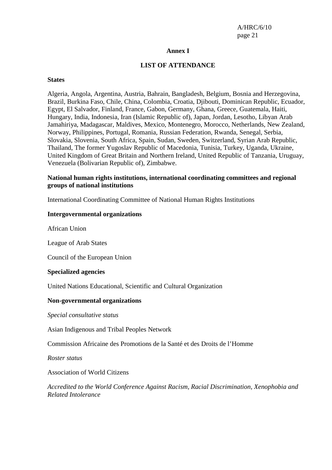#### **Annex I**

#### **LIST OF ATTENDANCE**

#### **States**

Algeria, Angola, Argentina, Austria, Bahrain, Bangladesh, Belgium, Bosnia and Herzegovina, Brazil, Burkina Faso, Chile, China, Colombia, Croatia, Djibouti, Dominican Republic, Ecuador, Egypt, El Salvador, Finland, France, Gabon, Germany, Ghana, Greece, Guatemala, Haiti, Hungary, India, Indonesia, Iran (Islamic Republic of), Japan, Jordan, Lesotho, Libyan Arab Jamahiriya, Madagascar, Maldives, Mexico, Montenegro, Morocco, Netherlands, New Zealand, Norway, Philippines, Portugal, Romania, Russian Federation, Rwanda, Senegal, Serbia, Slovakia, Slovenia, South Africa, Spain, Sudan, Sweden, Switzerland, Syrian Arab Republic, Thailand, The former Yugoslav Republic of Macedonia, Tunisia, Turkey, Uganda, Ukraine, United Kingdom of Great Britain and Northern Ireland, United Republic of Tanzania, Uruguay, Venezuela (Bolivarian Republic of), Zimbabwe.

#### **National human rights institutions, international coordinating committees and regional groups of national institutions**

International Coordinating Committee of National Human Rights Institutions

#### **Intergovernmental organizations**

African Union

League of Arab States

Council of the European Union

#### **Specialized agencies**

United Nations Educational, Scientific and Cultural Organization

#### **Non-governmental organizations**

*Special consultative status* 

Asian Indigenous and Tribal Peoples Network

Commission Africaine des Promotions de la Santé et des Droits de l'Homme

*Roster status* 

Association of World Citizens

*Accredited to the World Conference Against Racism, Racial Discrimination, Xenophobia and Related Intolerance*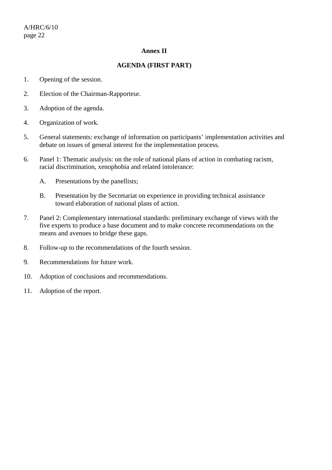### **Annex II**

### **AGENDA (FIRST PART)**

- 1. Opening of the session.
- 2. Election of the Chairman-Rapporteur.
- 3. Adoption of the agenda.
- 4. Organization of work.
- 5. General statements: exchange of information on participants' implementation activities and debate on issues of general interest for the implementation process.
- 6. Panel 1: Thematic analysis: on the role of national plans of action in combating racism, racial discrimination, xenophobia and related intolerance:
	- A. Presentations by the panellists;
	- B. Presentation by the Secretariat on experience in providing technical assistance toward elaboration of national plans of action.
- 7. Panel 2: Complementary international standards: preliminary exchange of views with the five experts to produce a base document and to make concrete recommendations on the means and avenues to bridge these gaps.
- 8. Follow-up to the recommendations of the fourth session.
- 9. Recommendations for future work.
- 10. Adoption of conclusions and recommendations.
- 11. Adoption of the report.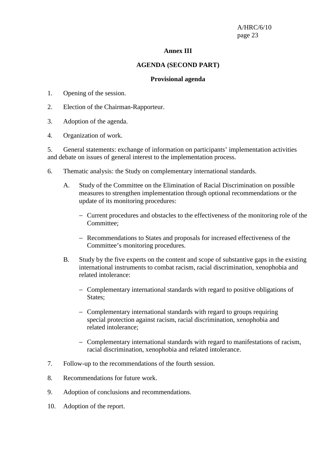#### **Annex III**

#### **AGENDA (SECOND PART)**

#### **Provisional agenda**

- 1. Opening of the session.
- 2. Election of the Chairman-Rapporteur.
- 3. Adoption of the agenda.
- 4. Organization of work.

5. General statements: exchange of information on participants' implementation activities and debate on issues of general interest to the implementation process.

- 6. Thematic analysis: the Study on complementary international standards.
	- A. Study of the Committee on the Elimination of Racial Discrimination on possible measures to strengthen implementation through optional recommendations or the update of its monitoring procedures:
		- − Current procedures and obstacles to the effectiveness of the monitoring role of the Committee;
		- − Recommendations to States and proposals for increased effectiveness of the Committee's monitoring procedures.
	- B. Study by the five experts on the content and scope of substantive gaps in the existing international instruments to combat racism, racial discrimination, xenophobia and related intolerance:
		- − Complementary international standards with regard to positive obligations of States;
		- − Complementary international standards with regard to groups requiring special protection against racism, racial discrimination, xenophobia and related intolerance;
		- − Complementary international standards with regard to manifestations of racism, racial discrimination, xenophobia and related intolerance.
- 7. Follow-up to the recommendations of the fourth session.
- 8. Recommendations for future work.
- 9. Adoption of conclusions and recommendations.
- 10. Adoption of the report.